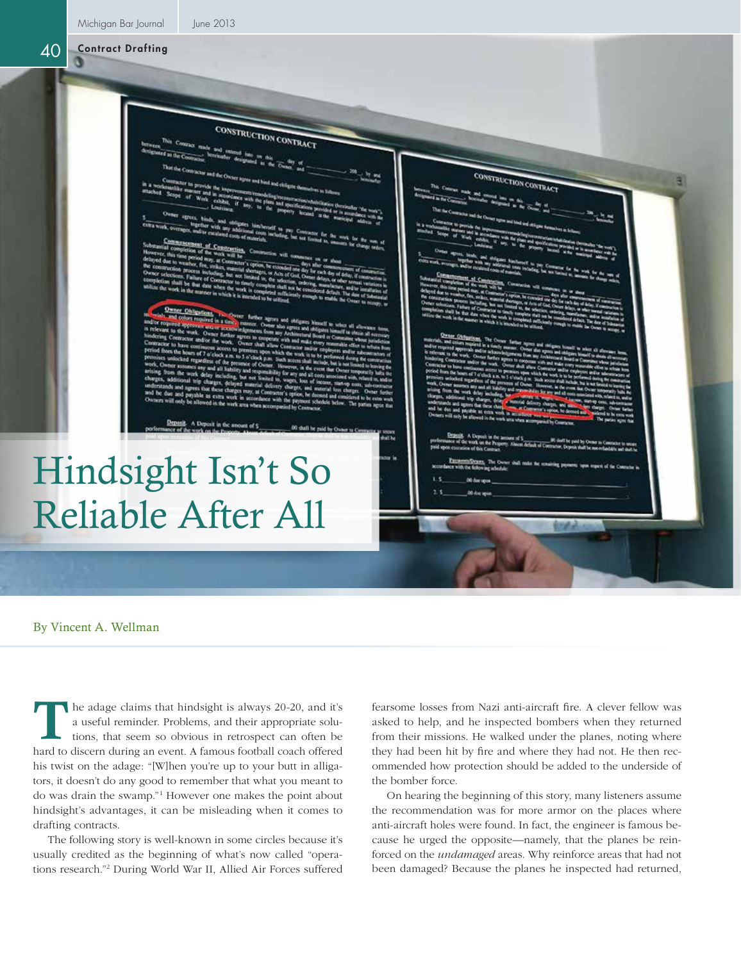Michigan Bar Journal June 2013

CONSTRUCTION CONTRACT **CTION CONTRAC** Hindsight Isn't So Reliable After All

By Vincent A. Wellman

he adage claims that hindsight is always 20-20, and it's a useful reminder. Problems, and their appropriate solutions, that seem so obvious in retrospect can often be hard to discern during an event. A famous football coach offered his twist on the adage: "[W]hen you're up to your butt in alligators, it doesn't do any good to remember that what you meant to do was drain the swamp."1 However one makes the point about hindsight's advantages, it can be misleading when it comes to drafting contracts. T

The following story is well-known in some circles because it's usually credited as the beginning of what's now called "operations research."2 During World War II, Allied Air Forces suffered

fearsome losses from Nazi anti-aircraft fire. A clever fellow was asked to help, and he inspected bombers when they returned from their missions. He walked under the planes, noting where they had been hit by fire and where they had not. He then recommended how protection should be added to the underside of the bomber force.

On hearing the beginning of this story, many listeners assume the recommendation was for more armor on the places where anti-aircraft holes were found. In fact, the engineer is famous because he urged the opposite—namely, that the planes be reinforced on the *undamaged* areas. Why reinforce areas that had not been damaged? Because the planes he inspected had returned,

40 Contract Drafting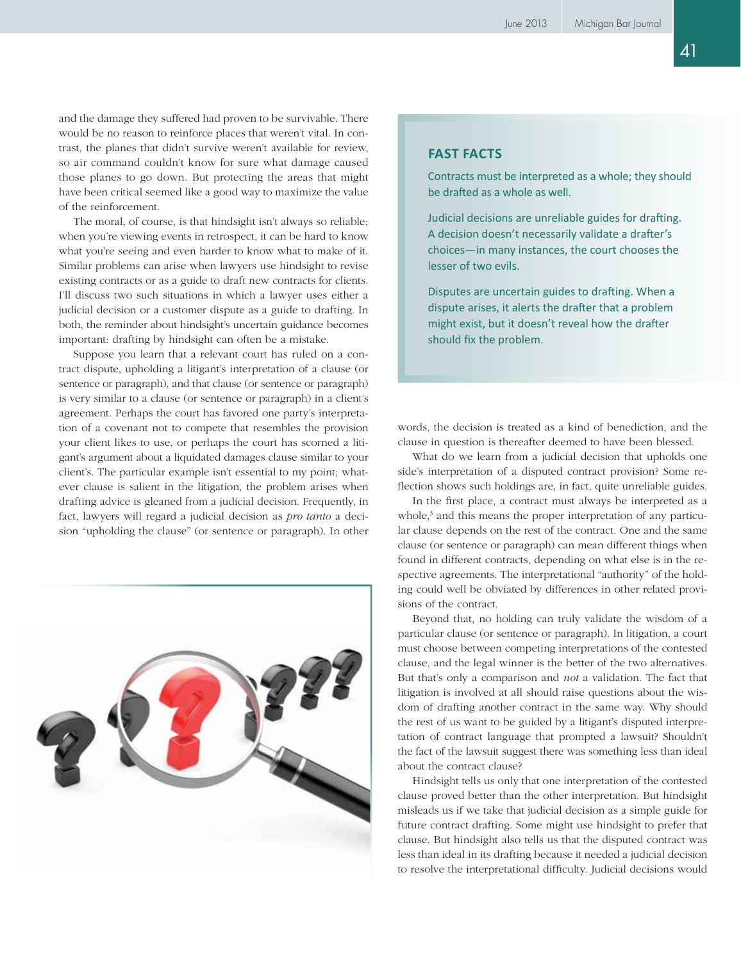and the damage they suffered had proven to be survivable. There would be no reason to reinforce places that weren't vital. In contrast, the planes that didn't survive weren't available for review, so air command couldn't know for sure what damage caused those planes to go down. But protecting the areas that might have been critical seemed like a good way to maximize the value of the reinforcement.

The moral, of course, is that hindsight isn't always so reliable; when you're viewing events in retrospect, it can be hard to know what you're seeing and even harder to know what to make of it. Similar problems can arise when lawyers use hindsight to revise existing contracts or as a guide to draft new contracts for clients. I'll discuss two such situations in which a lawyer uses either a judicial decision or a customer dispute as a guide to drafting. In both, the reminder about hindsight's uncertain guidance becomes important: drafting by hindsight can often be a mistake.

Suppose you learn that a relevant court has ruled on a contract dispute, upholding a litigant's interpretation of a clause (or sentence or paragraph), and that clause (or sentence or paragraph) is very similar to a clause (or sentence or paragraph) in a client's agreement. Perhaps the court has favored one party's interpretation of a covenant not to compete that resembles the provision your client likes to use, or perhaps the court has scorned a litigant's argument about a liquidated damages clause similar to your client's. The particular example isn't essential to my point; whatever clause is salient in the litigation, the problem arises when drafting advice is gleaned from a judicial decision. Frequently, in fact, lawyers will regard a judicial decision as *pro tanto* a decision "upholding the clause" (or sentence or paragraph). In other



## **Fast Facts**

Contracts must be interpreted as a whole; they should be drafted as a whole as well.

Judicial decisions are unreliable guides for drafting. A decision doesn't necessarily validate a drafter's choices—in many instances, the court chooses the lesser of two evils.

Disputes are uncertain guides to drafting. When a dispute arises, it alerts the drafter that a problem might exist, but it doesn't reveal how the drafter should fix the problem.

words, the decision is treated as a kind of benediction, and the clause in question is thereafter deemed to have been blessed.

What do we learn from a judicial decision that upholds one side's interpretation of a disputed contract provision? Some reflection shows such holdings are, in fact, quite unreliable guides.

In the first place, a contract must always be interpreted as a whole,<sup>3</sup> and this means the proper interpretation of any particular clause depends on the rest of the contract. One and the same clause (or sentence or paragraph) can mean different things when found in different contracts, depending on what else is in the respective agreements. The interpretational "authority" of the holding could well be obviated by differences in other related provisions of the contract.

Beyond that, no holding can truly validate the wisdom of a particular clause (or sentence or paragraph). In litigation, a court must choose between competing interpretations of the contested clause, and the legal winner is the better of the two alternatives. But that's only a comparison and *not* a validation. The fact that litigation is involved at all should raise questions about the wisdom of drafting another contract in the same way. Why should the rest of us want to be guided by a litigant's disputed interpretation of contract language that prompted a lawsuit? Shouldn't the fact of the lawsuit suggest there was something less than ideal about the contract clause?

Hindsight tells us only that one interpretation of the contested clause proved better than the other interpretation. But hindsight misleads us if we take that judicial decision as a simple guide for future contract drafting. Some might use hindsight to prefer that clause. But hindsight also tells us that the disputed contract was less than ideal in its drafting because it needed a judicial decision to resolve the interpretational difficulty. Judicial decisions would